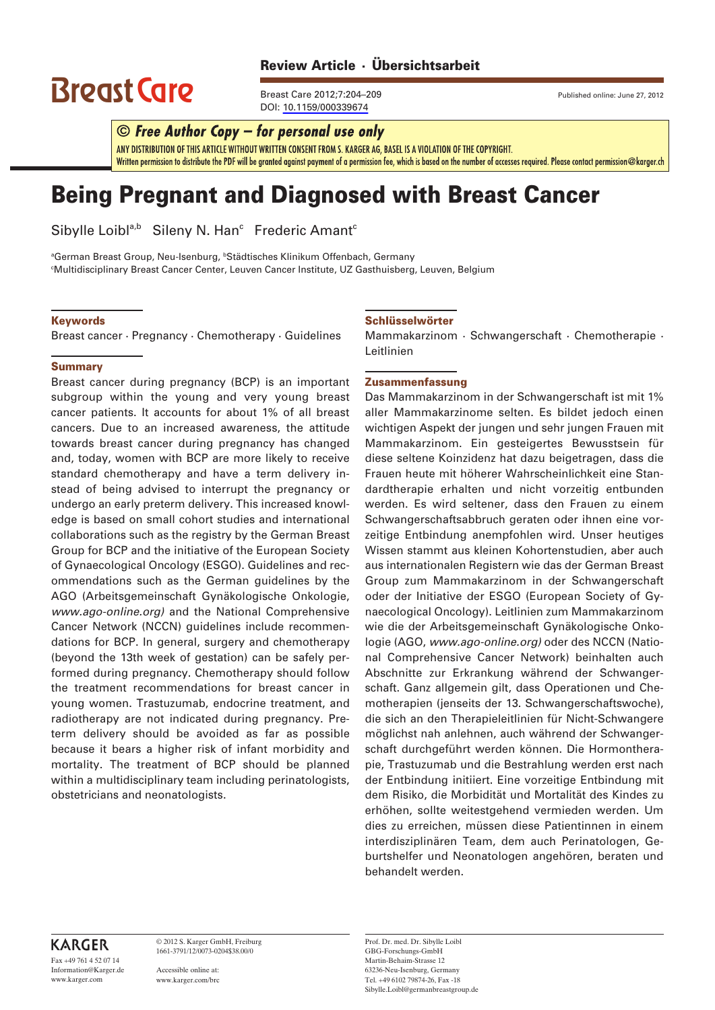## Review Article · Ubersichtsarbeit **©** *Free Author Copy – for per sonal use only*

# $\text{Brest}$  Care  $\text{Srest}$   $\text{Grec}$   $\text{Frest}$  Care 2012;7:204–209 Published online: June 27, 2012

Breast Care 2012;7:204-209 Published online: June 27, 2012 DOI: [10.1159/000339674](http://dx.doi.org/10.1159%2F000339674)

# $\odot$  Free Author Copy – for personal use only

ANY DISTRIBUTION OF THIS ARTICLE WITHOUT WRITTEN CONSENT FROM S. KARGER AG, BASEL IS A VIOLATION OF THE COPYRIGHT. Written permission to distribute the PDF will be granted against payment of a permission fee, which is based on the number of accesses required. Please contact permission@karger.ch

# Being Pregnant and Diagnosed with Breast Cancer

Sibylle Loibl<sup>a,b</sup> Sileny N. Han<sup>c</sup> Frederic Amant<sup>c</sup>

<sup>a</sup>German Breast Group, Neu-Isenburg, <sup>ь</sup>Städtisches Klinikum Offenbach, Germany c Multidisciplinary Breast Cancer Center, Leuven Cancer Institute, UZ Gasthuisberg, Leuven, Belgium

#### Keywords

Breast cancer · Pregnancy · Chemotherapy · Guidelines

#### **Summary**

Breast cancer during pregnancy (BCP) is an important subgroup within the young and very young breast cancer patients. It accounts for about 1% of all breast cancers. Due to an increased awareness, the attitude towards breast cancer during pregnancy has changed and, today, women with BCP are more likely to receive standard chemotherapy and have a term delivery instead of being advised to interrupt the pregnancy or undergo an early preterm delivery. This increased knowledge is based on small cohort studies and international collaborations such as the registry by the German Breast Group for BCP and the initiative of the European Society of Gynaecological Oncology (ESGO). Guidelines and recommendations such as the German guidelines by the AGO (Arbeitsgemeinschaft Gynäkologische Onkologie, *www.ago-online.org)* and the National Comprehensive Cancer Network (NCCN) guidelines include recommendations for BCP. In general, surgery and chemotherapy (beyond the 13th week of gestation) can be safely performed during pregnancy. Chemotherapy should follow the treatment recommendations for breast cancer in young women. Trastuzumab, endocrine treatment, and radiotherapy are not indicated during pregnancy. Preterm delivery should be avoided as far as possible because it bears a higher risk of infant morbidity and mortality. The treatment of BCP should be planned within a multidisciplinary team including perinatologists, obstetricians and neonatologists.

#### Schlüsselwörter

Mammakarzinom · Schwangerschaft · Chemotherapie · Leitlinien

#### Zusammenfassung

Das Mammakarzinom in der Schwangerschaft ist mit 1% aller Mammakarzinome selten. Es bildet jedoch einen wichtigen Aspekt der jungen und sehr jungen Frauen mit Mammakarzinom. Ein gesteigertes Bewusstsein für diese seltene Koinzidenz hat dazu beigetragen, dass die Frauen heute mit höherer Wahrscheinlichkeit eine Standardtherapie erhalten und nicht vorzeitig entbunden werden. Es wird seltener, dass den Frauen zu einem Schwangerschaftsabbruch geraten oder ihnen eine vorzeitige Entbindung anempfohlen wird. Unser heutiges Wissen stammt aus kleinen Kohortenstudien, aber auch aus internationalen Registern wie das der German Breast Group zum Mammakarzinom in der Schwangerschaft oder der Initiative der ESGO (European Society of Gynaecological Oncology). Leitlinien zum Mammakarzinom wie die der Arbeitsgemeinschaft Gynäkologische Onkologie (AGO, *www.ago-online.org)* oder des NCCN (National Comprehensive Cancer Network) beinhalten auch Abschnitte zur Erkrankung während der Schwangerschaft. Ganz allgemein gilt, dass Operationen und Chemotherapien (jenseits der 13. Schwangerschaftswoche), die sich an den Therapieleitlinien für Nicht-Schwangere möglichst nah anlehnen, auch während der Schwangerschaft durchgeführt werden können. Die Hormontherapie, Trastuzumab und die Bestrahlung werden erst nach der Entbindung initiiert. Eine vorzeitige Entbindung mit dem Risiko, die Morbidität und Mortalität des Kindes zu erhöhen, sollte weitestgehend vermieden werden. Um dies zu erreichen, müssen diese Patientinnen in einem interdisziplinären Team, dem auch Perinatologen, Geburtshelfer und Neonatologen angehören, beraten und behandelt werden.

### **KARGER**

Fax +49 761 4 52 07 14 Information@Karger.de www.karger.com

© 2012 S. Karger GmbH, Freiburg 1661-3791/12/0073-0204\$38.00/0

Accessible online at: www.karger.com/brc Prof. Dr. med. Dr. Sibylle Loibl GBG-Forschungs-GmbH Martin-Behaim-Strasse 12 63236-Neu-Isenburg, Germany Tel. +49 6102 79874-26, Fax -18 Sibylle.Loibl@germanbreastgroup.de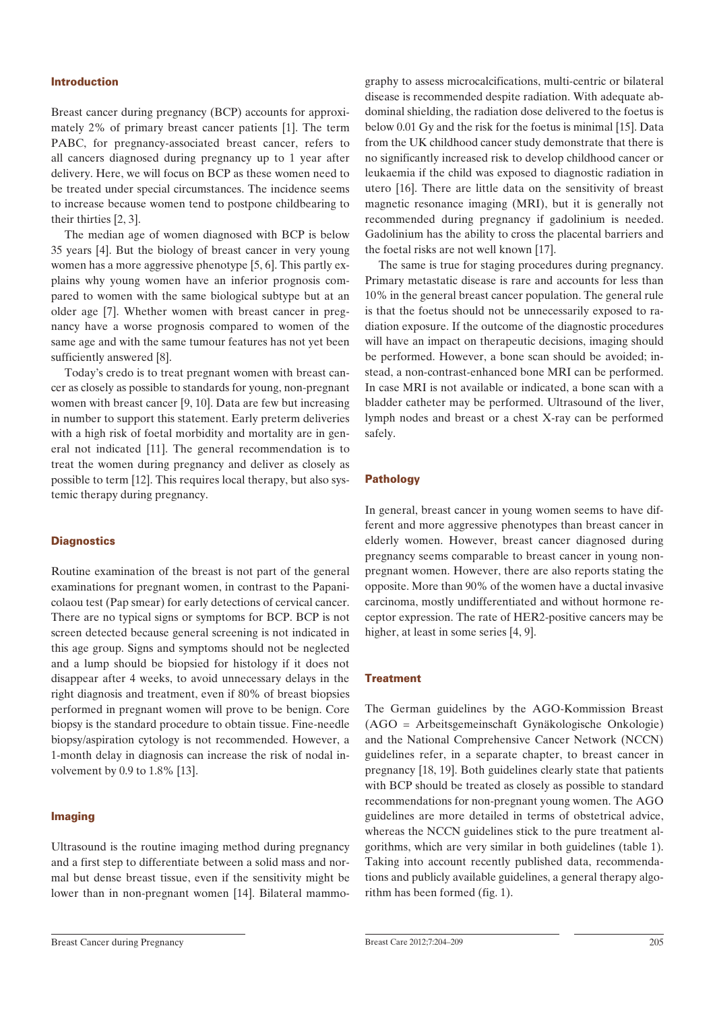#### Introduction

Breast cancer during pregnancy (BCP) accounts for approximately 2% of primary breast cancer patients [1]. The term PABC, for pregnancy-associated breast cancer, refers to all cancers diagnosed during pregnancy up to 1 year after delivery. Here, we will focus on BCP as these women need to be treated under special circumstances. The incidence seems to increase because women tend to postpone childbearing to their thirties [2, 3].

The median age of women diagnosed with BCP is below 35 years [4]. But the biology of breast cancer in very young women has a more aggressive phenotype [5, 6]. This partly explains why young women have an inferior prognosis compared to women with the same biological subtype but at an older age [7]. Whether women with breast cancer in pregnancy have a worse prognosis compared to women of the same age and with the same tumour features has not yet been sufficiently answered [8].

Today's credo is to treat pregnant women with breast cancer as closely as possible to standards for young, non-pregnant women with breast cancer [9, 10]. Data are few but increasing in number to support this statement. Early preterm deliveries with a high risk of foetal morbidity and mortality are in general not indicated [11]. The general recommendation is to treat the women during pregnancy and deliver as closely as possible to term [12]. This requires local therapy, but also systemic therapy during pregnancy.

#### **Diagnostics**

Routine examination of the breast is not part of the general examinations for pregnant women, in contrast to the Papanicolaou test (Pap smear) for early detections of cervical cancer. There are no typical signs or symptoms for BCP. BCP is not screen detected because general screening is not indicated in this age group. Signs and symptoms should not be neglected and a lump should be biopsied for histology if it does not disappear after 4 weeks, to avoid unnecessary delays in the right diagnosis and treatment, even if 80% of breast biopsies performed in pregnant women will prove to be benign. Core biopsy is the standard procedure to obtain tissue. Fine-needle biopsy/aspiration cytology is not recommended. However, a 1-month delay in diagnosis can increase the risk of nodal involvement by 0.9 to 1.8% [13].

#### Imaging

Ultrasound is the routine imaging method during pregnancy and a first step to differentiate between a solid mass and normal but dense breast tissue, even if the sensitivity might be lower than in non-pregnant women [14]. Bilateral mammography to assess microcalcifications, multi-centric or bilateral disease is recommended despite radiation. With adequate abdominal shielding, the radiation dose delivered to the foetus is below 0.01 Gy and the risk for the foetus is minimal [15]. Data from the UK childhood cancer study demonstrate that there is no significantly increased risk to develop childhood cancer or leukaemia if the child was exposed to diagnostic radiation in utero [16]. There are little data on the sensitivity of breast magnetic resonance imaging (MRI), but it is generally not recommended during pregnancy if gadolinium is needed. Gadolinium has the ability to cross the placental barriers and the foetal risks are not well known [17].

The same is true for staging procedures during pregnancy. Primary metastatic disease is rare and accounts for less than 10% in the general breast cancer population. The general rule is that the foetus should not be unnecessarily exposed to radiation exposure. If the outcome of the diagnostic procedures will have an impact on therapeutic decisions, imaging should be performed. However, a bone scan should be avoided; instead, a non-contrast-enhanced bone MRI can be performed. In case MRI is not available or indicated, a bone scan with a bladder catheter may be performed. Ultrasound of the liver, lymph nodes and breast or a chest X-ray can be performed safely.

#### Pathology

In general, breast cancer in young women seems to have different and more aggressive phenotypes than breast cancer in elderly women. However, breast cancer diagnosed during pregnancy seems comparable to breast cancer in young nonpregnant women. However, there are also reports stating the opposite. More than 90% of the women have a ductal invasive carcinoma, mostly undifferentiated and without hormone receptor expression. The rate of HER2-positive cancers may be higher, at least in some series [4, 9].

#### **Treatment**

The German guidelines by the AGO-Kommission Breast (AGO = Arbeitsgemeinschaft Gynäkologische Onkologie) and the National Comprehensive Cancer Network (NCCN) guidelines refer, in a separate chapter, to breast cancer in pregnancy [18, 19]. Both guidelines clearly state that patients with BCP should be treated as closely as possible to standard recommendations for non-pregnant young women. The AGO guidelines are more detailed in terms of obstetrical advice, whereas the NCCN guidelines stick to the pure treatment algorithms, which are very similar in both guidelines (table 1). Taking into account recently published data, recommendations and publicly available guidelines, a general therapy algorithm has been formed (fig. 1).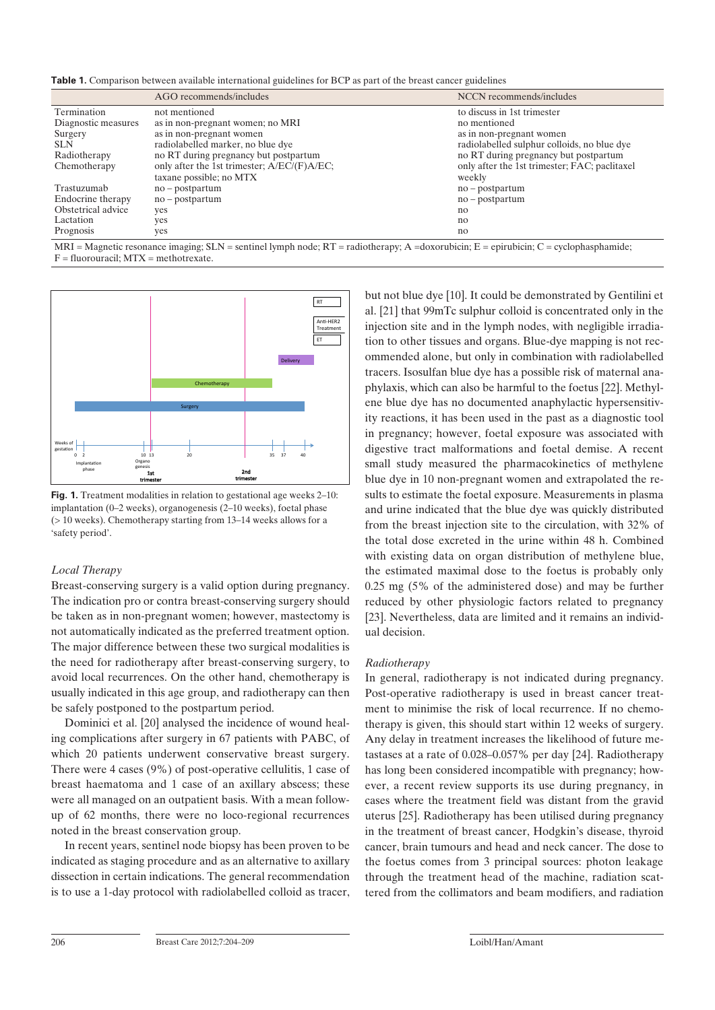**Table 1.** Comparison between available international guidelines for BCP as part of the breast cancer guidelines

|                     | AGO recommends/includes                     | NCCN recommends/includes                      |
|---------------------|---------------------------------------------|-----------------------------------------------|
| Termination         | not mentioned                               | to discuss in 1st trimester                   |
| Diagnostic measures | as in non-pregnant women; no MRI            | no mentioned                                  |
| Surgery             | as in non-pregnant women                    | as in non-pregnant women                      |
| <b>SLN</b>          | radiolabelled marker, no blue dye           | radiolabelled sulphur colloids, no blue dye   |
| Radiotherapy        | no RT during pregnancy but postpartum       | no RT during pregnancy but postpartum         |
| Chemotherapy        | only after the 1st trimester; A/EC/(F)A/EC; | only after the 1st trimester; FAC; paclitaxel |
|                     | taxane possible; no MTX                     | weekly                                        |
| Trastuzumab         | $no - postpartum$                           | $no - postpartum$                             |
| Endocrine therapy   | $no - postpartum$                           | $no - postpartum$                             |
| Obstetrical advice  | yes                                         | no                                            |
| Lactation           | yes                                         | n <sub>0</sub>                                |
| Prognosis           | yes                                         | no                                            |

 $MRI =$  Magnetic resonance imaging;  $SLN =$  sentinel lymph node;  $RT =$  radiotherapy; A =doxorubicin; E = epirubicin; C = cyclophasphamide;  $F =$  fluorouracil;  $MTX =$  methotrexate.



**Fig. 1.** Treatment modalities in relation to gestational age weeks 2–10: implantation (0–2 weeks), organogenesis (2–10 weeks), foetal phase (> 10 weeks). Chemotherapy starting from 13–14 weeks allows for a 'safety period'.

#### *Local Therapy*

Breast-conserving surgery is a valid option during pregnancy. The indication pro or contra breast-conserving surgery should be taken as in non-pregnant women; however, mastectomy is not automatically indicated as the preferred treatment option. The major difference between these two surgical modalities is the need for radiotherapy after breast-conserving surgery, to avoid local recurrences. On the other hand, chemotherapy is usually indicated in this age group, and radiotherapy can then be safely postponed to the postpartum period.

Dominici et al. [20] analysed the incidence of wound healing complications after surgery in 67 patients with PABC, of which 20 patients underwent conservative breast surgery. There were 4 cases (9%) of post-operative cellulitis, 1 case of breast haematoma and 1 case of an axillary abscess; these were all managed on an outpatient basis. With a mean followup of 62 months, there were no loco-regional recurrences noted in the breast conservation group.

In recent years, sentinel node biopsy has been proven to be indicated as staging procedure and as an alternative to axillary dissection in certain indications. The general recommendation is to use a 1-day protocol with radiolabelled colloid as tracer, but not blue dye [10]. It could be demonstrated by Gentilini et al. [21] that 99mTc sulphur colloid is concentrated only in the injection site and in the lymph nodes, with negligible irradiation to other tissues and organs. Blue-dye mapping is not recommended alone, but only in combination with radiolabelled tracers. Isosulfan blue dye has a possible risk of maternal anaphylaxis, which can also be harmful to the foetus [22]. Methylene blue dye has no documented anaphylactic hypersensitivity reactions, it has been used in the past as a diagnostic tool in pregnancy; however, foetal exposure was associated with digestive tract malformations and foetal demise. A recent small study measured the pharmacokinetics of methylene blue dye in 10 non-pregnant women and extrapolated the results to estimate the foetal exposure. Measurements in plasma and urine indicated that the blue dye was quickly distributed from the breast injection site to the circulation, with 32% of the total dose excreted in the urine within 48 h. Combined with existing data on organ distribution of methylene blue, the estimated maximal dose to the foetus is probably only 0.25 mg (5% of the administered dose) and may be further reduced by other physiologic factors related to pregnancy [23]. Nevertheless, data are limited and it remains an individual decision.

#### *Radiotherapy*

In general, radiotherapy is not indicated during pregnancy. Post-operative radiotherapy is used in breast cancer treatment to minimise the risk of local recurrence. If no chemotherapy is given, this should start within 12 weeks of surgery. Any delay in treatment increases the likelihood of future metastases at a rate of 0.028–0.057% per day [24]. Radiotherapy has long been considered incompatible with pregnancy; however, a recent review supports its use during pregnancy, in cases where the treatment field was distant from the gravid uterus [25]. Radiotherapy has been utilised during pregnancy in the treatment of breast cancer, Hodgkin's disease, thyroid cancer, brain tumours and head and neck cancer. The dose to the foetus comes from 3 principal sources: photon leakage through the treatment head of the machine, radiation scattered from the collimators and beam modifiers, and radiation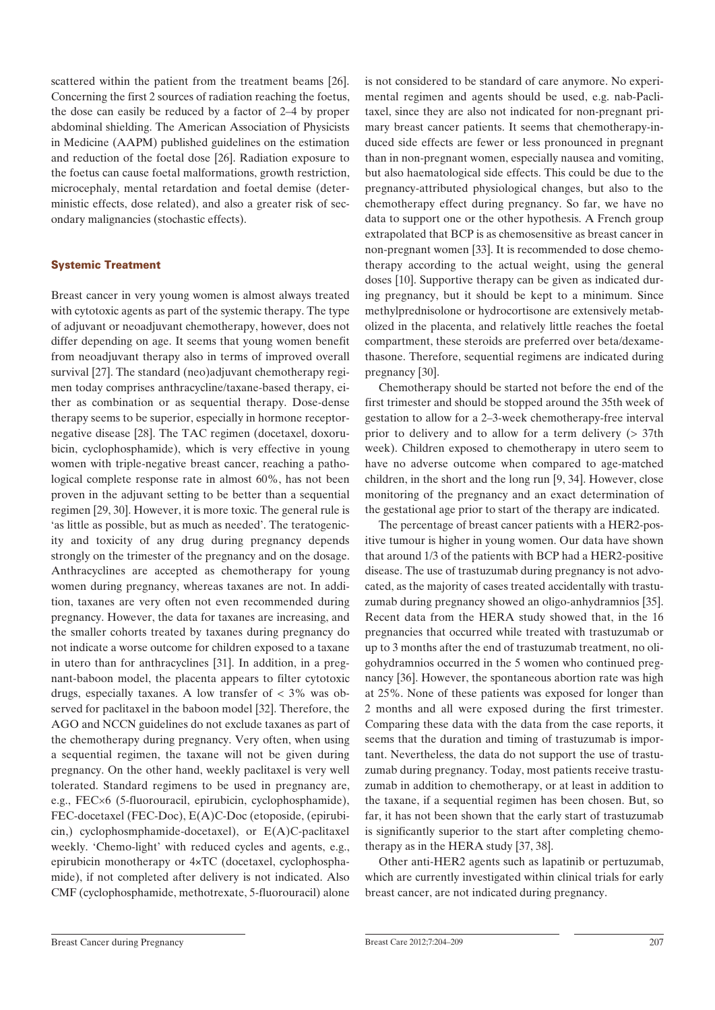scattered within the patient from the treatment beams [26]. Concerning the first 2 sources of radiation reaching the foetus, the dose can easily be reduced by a factor of 2–4 by proper abdominal shielding. The American Association of Physicists in Medicine (AAPM) published guidelines on the estimation and reduction of the foetal dose [26]. Radiation exposure to the foetus can cause foetal malformations, growth restriction, microcephaly, mental retardation and foetal demise (deterministic effects, dose related), and also a greater risk of secondary malignancies (stochastic effects).

#### Systemic Treatment

Breast cancer in very young women is almost always treated with cytotoxic agents as part of the systemic therapy. The type of adjuvant or neoadjuvant chemotherapy, however, does not differ depending on age. It seems that young women benefit from neoadjuvant therapy also in terms of improved overall survival [27]. The standard (neo)adjuvant chemotherapy regimen today comprises anthracycline/taxane-based therapy, either as combination or as sequential therapy. Dose-dense therapy seems to be superior, especially in hormone receptornegative disease [28]. The TAC regimen (docetaxel, doxorubicin, cyclophosphamide), which is very effective in young women with triple-negative breast cancer, reaching a pathological complete response rate in almost 60%, has not been proven in the adjuvant setting to be better than a sequential regimen [29, 30]. However, it is more toxic. The general rule is 'as little as possible, but as much as needed'. The teratogenicity and toxicity of any drug during pregnancy depends strongly on the trimester of the pregnancy and on the dosage. Anthracyclines are accepted as chemotherapy for young women during pregnancy, whereas taxanes are not. In addition, taxanes are very often not even recommended during pregnancy. However, the data for taxanes are increasing, and the smaller cohorts treated by taxanes during pregnancy do not indicate a worse outcome for children exposed to a taxane in utero than for anthracyclines [31]. In addition, in a pregnant-baboon model, the placenta appears to filter cytotoxic drugs, especially taxanes. A low transfer of < 3% was observed for paclitaxel in the baboon model [32]. Therefore, the AGO and NCCN guidelines do not exclude taxanes as part of the chemotherapy during pregnancy. Very often, when using a sequential regimen, the taxane will not be given during pregnancy. On the other hand, weekly paclitaxel is very well tolerated. Standard regimens to be used in pregnancy are, e.g., FEC×6 (5-fluorouracil, epirubicin, cyclophosphamide), FEC-docetaxel (FEC-Doc), E(A)C-Doc (etoposide, (epirubicin,) cyclophosmphamide-docetaxel), or E(A)C-paclitaxel weekly. 'Chemo-light' with reduced cycles and agents, e.g., epirubicin monotherapy or 4×TC (docetaxel, cyclophosphamide), if not completed after delivery is not indicated. Also CMF (cyclophosphamide, methotrexate, 5-fluorouracil) alone

is not considered to be standard of care anymore. No experimental regimen and agents should be used, e.g. nab-Paclitaxel, since they are also not indicated for non-pregnant primary breast cancer patients. It seems that chemotherapy-induced side effects are fewer or less pronounced in pregnant than in non-pregnant women, especially nausea and vomiting, but also haematological side effects. This could be due to the pregnancy-attributed physiological changes, but also to the chemotherapy effect during pregnancy. So far, we have no data to support one or the other hypothesis. A French group extrapolated that BCP is as chemosensitive as breast cancer in non-pregnant women [33]. It is recommended to dose chemotherapy according to the actual weight, using the general doses [10]. Supportive therapy can be given as indicated during pregnancy, but it should be kept to a minimum. Since methylprednisolone or hydrocortisone are extensively metabolized in the placenta, and relatively little reaches the foetal compartment, these steroids are preferred over beta/dexamethasone. Therefore, sequential regimens are indicated during pregnancy [30].

Chemotherapy should be started not before the end of the first trimester and should be stopped around the 35th week of gestation to allow for a 2–3-week chemotherapy-free interval prior to delivery and to allow for a term delivery (> 37th week). Children exposed to chemotherapy in utero seem to have no adverse outcome when compared to age-matched children, in the short and the long run [9, 34]. However, close monitoring of the pregnancy and an exact determination of the gestational age prior to start of the therapy are indicated.

The percentage of breast cancer patients with a HER2-positive tumour is higher in young women. Our data have shown that around 1/3 of the patients with BCP had a HER2-positive disease. The use of trastuzumab during pregnancy is not advocated, as the majority of cases treated accidentally with trastuzumab during pregnancy showed an oligo-anhydramnios [35]. Recent data from the HERA study showed that, in the 16 pregnancies that occurred while treated with trastuzumab or up to 3 months after the end of trastuzumab treatment, no oligohydramnios occurred in the 5 women who continued pregnancy [36]. However, the spontaneous abortion rate was high at 25%. None of these patients was exposed for longer than 2 months and all were exposed during the first trimester. Comparing these data with the data from the case reports, it seems that the duration and timing of trastuzumab is important. Nevertheless, the data do not support the use of trastuzumab during pregnancy. Today, most patients receive trastuzumab in addition to chemotherapy, or at least in addition to the taxane, if a sequential regimen has been chosen. But, so far, it has not been shown that the early start of trastuzumab is significantly superior to the start after completing chemotherapy as in the HERA study [37, 38].

Other anti-HER2 agents such as lapatinib or pertuzumab, which are currently investigated within clinical trials for early breast cancer, are not indicated during pregnancy.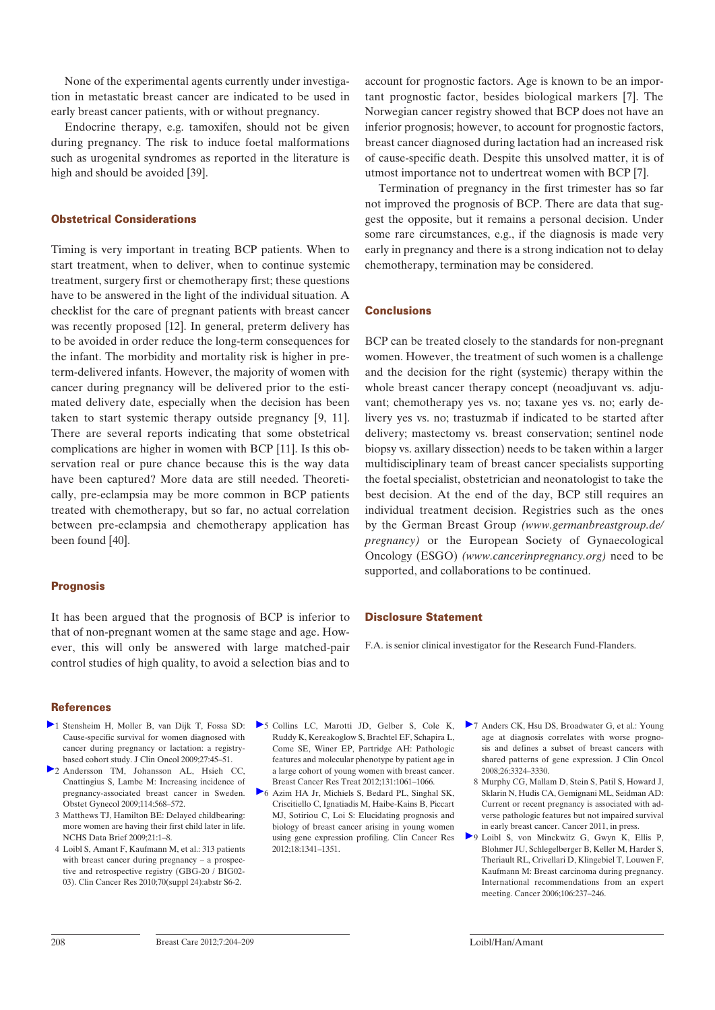None of the experimental agents currently under investigation in metastatic breast cancer are indicated to be used in early breast cancer patients, with or without pregnancy.

Endocrine therapy, e.g. tamoxifen, should not be given during pregnancy. The risk to induce foetal malformations such as urogenital syndromes as reported in the literature is high and should be avoided [39].

#### Obstetrical Considerations

Timing is very important in treating BCP patients. When to start treatment, when to deliver, when to continue systemic treatment, surgery first or chemotherapy first; these questions have to be answered in the light of the individual situation. A checklist for the care of pregnant patients with breast cancer was recently proposed [12]. In general, preterm delivery has to be avoided in order reduce the long-term consequences for the infant. The morbidity and mortality risk is higher in preterm-delivered infants. However, the majority of women with cancer during pregnancy will be delivered prior to the estimated delivery date, especially when the decision has been taken to start systemic therapy outside pregnancy [9, 11]. There are several reports indicating that some obstetrical complications are higher in women with BCP [11]. Is this observation real or pure chance because this is the way data have been captured? More data are still needed. Theoretically, pre-eclampsia may be more common in BCP patients treated with chemotherapy, but so far, no actual correlation between pre-eclampsia and chemotherapy application has been found [40].

#### **Prognosis**

It has been argued that the prognosis of BCP is inferior to that of non-pregnant women at the same stage and age. However, this will only be answered with large matched-pair control studies of high quality, to avoid a selection bias and to

account for prognostic factors. Age is known to be an important prognostic factor, besides biological markers [7]. The Norwegian cancer registry showed that BCP does not have an inferior prognosis; however, to account for prognostic factors, breast cancer diagnosed during lactation had an increased risk of cause-specific death. Despite this unsolved matter, it is of utmost importance not to undertreat women with BCP [7].

Termination of pregnancy in the first trimester has so far not improved the prognosis of BCP. There are data that suggest the opposite, but it remains a personal decision. Under some rare circumstances, e.g., if the diagnosis is made very early in pregnancy and there is a strong indication not to delay chemotherapy, termination may be considered.

#### **Conclusions**

BCP can be treated closely to the standards for non-pregnant women. However, the treatment of such women is a challenge and the decision for the right (systemic) therapy within the whole breast cancer therapy concept (neoadjuvant vs. adjuvant; chemotherapy yes vs. no; taxane yes vs. no; early delivery yes vs. no; trastuzmab if indicated to be started after delivery; mastectomy vs. breast conservation; sentinel node biopsy vs. axillary dissection) needs to be taken within a larger multidisciplinary team of breast cancer specialists supporting the foetal specialist, obstetrician and neonatologist to take the best decision. At the end of the day, BCP still requires an individual treatment decision. Registries such as the ones by the German Breast Group *(www.germanbreastgroup.de/ pregnancy)* or the European Society of Gynaecological Oncology (ESGO) *(www.cancerinpregnancy.org)* need to be supported, and collaborations to be continued.

#### Disclosure Statement

F.A. is senior clinical investigator for the Research Fund-Flanders.

#### **References**

- 1 Stensheim H, Moller B, van Dijk T, Fossa SD: Cause-specific survival for women diagnosed with cancer during pregnancy or lactation: a registrybased cohort study. J Clin Oncol 2009;27:45–51.
- 2 Andersson TM, Johansson AL, Hsieh CC, Cnattingius S, Lambe M: Increasing incidence of pregnancy-associated breast cancer in Sweden. Obstet Gynecol 2009;114:568–572.
	- 3 Matthews TJ, Hamilton BE: Delayed childbearing: more women are having their first child later in life. NCHS Data Brief 2009;21:1–8.
	- 4 Loibl S, Amant F, Kaufmann M, et al.: 313 patients with breast cancer during pregnancy – a prospective and retrospective registry (GBG-20 / BIG02- 03). Clin Cancer Res 2010;70(suppl 24):abstr S6-2.
- 5 Collins LC, Marotti JD, Gelber S, Cole K, Ruddy K, Kereakoglow S, Brachtel EF, Schapira L, Come SE, Winer EP, Partridge AH: Pathologic features and molecular phenotype by patient age in a large cohort of young women with breast cancer. Breast Cancer Res Treat 2012;131:1061–1066.
- 6 Azim HA Jr, Michiels S, Bedard PL, Singhal SK, Criscitiello C, Ignatiadis M, Haibe-Kains B, Piccart MJ, Sotiriou C, Loi S: Elucidating prognosis and biology of breast cancer arising in young women using gene expression profiling. Clin Cancer Res 2012;18:1341–1351.
- 7 Anders CK, Hsu DS, Broadwater G, et al.: Young age at diagnosis correlates with worse prognosis and defines a subset of breast cancers with shared patterns of gene expression. J Clin Oncol 2008;26:3324–3330.
	- 8 Murphy CG, Mallam D, Stein S, Patil S, Howard J, Sklarin N, Hudis CA, Gemignani ML, Seidman AD: Current or recent pregnancy is associated with adverse pathologic features but not impaired survival in early breast cancer. Cancer 2011, in press.
- 9 Loibl S, von Minckwitz G, Gwyn K, Ellis P, Blohmer JU, Schlegelberger B, Keller M, Harder S, Theriault RL, Crivellari D, Klingebiel T, Louwen F, Kaufmann M: Breast carcinoma during pregnancy. International recommendations from an expert meeting. Cancer 2006;106:237–246.